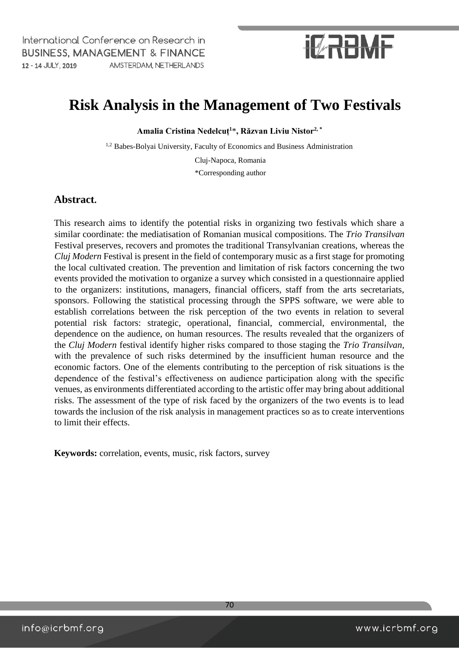## **IZRBMF**

## **Risk Analysis in the Management of Two Festivals**

**Amalia Cristina Nedelcuț<sup>1</sup>**\***, Răzvan Liviu Nistor2, \*** 

1,2 Babes-Bolyai University, Faculty of Economics and Business Administration

Cluj-Napoca, Romania \*Corresponding author

### **Abstract.**

This research aims to identify the potential risks in organizing two festivals which share a similar coordinate: the mediatisation of Romanian musical compositions. The *Trio Transilvan* Festival preserves, recovers and promotes the traditional Transylvanian creations, whereas the *Cluj Modern* Festival is present in the field of contemporary music as a first stage for promoting the local cultivated creation. The prevention and limitation of risk factors concerning the two events provided the motivation to organize a survey which consisted in a questionnaire applied to the organizers: institutions, managers, financial officers, staff from the arts secretariats, sponsors. Following the statistical processing through the SPPS software, we were able to establish correlations between the risk perception of the two events in relation to several potential risk factors: strategic, operational, financial, commercial, environmental, the dependence on the audience, on human resources. The results revealed that the organizers of the *Cluj Modern* festival identify higher risks compared to those staging the *Trio Transilvan*, with the prevalence of such risks determined by the insufficient human resource and the economic factors. One of the elements contributing to the perception of risk situations is the dependence of the festival's effectiveness on audience participation along with the specific venues, as environments differentiated according to the artistic offer may bring about additional risks. The assessment of the type of risk faced by the organizers of the two events is to lead towards the inclusion of the risk analysis in management practices so as to create interventions to limit their effects.

**Keywords:** correlation, events, music, risk factors, survey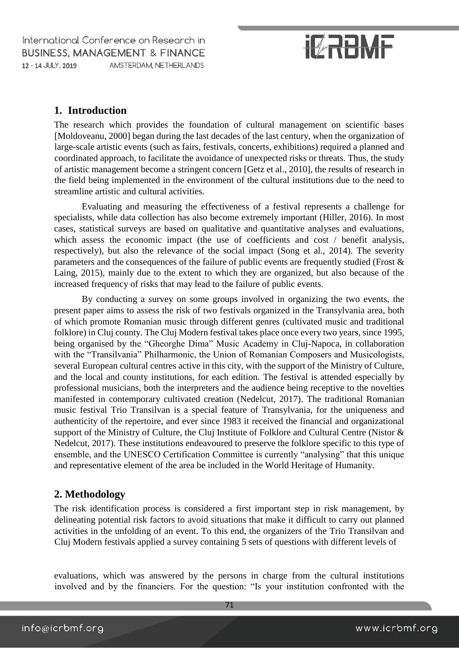# **IZRBMF**

### **1. Introduction**

The research which provides the foundation of cultural management on scientific bases [Moldoveanu, 2000] began during the last decades of the last century, when the organization of large-scale artistic events (such as fairs, festivals, concerts, exhibitions) required a planned and coordinated approach, to facilitate the avoidance of unexpected risks or threats. Thus, the study of artistic management become a stringent concern [Getz et al., 2010], the results of research in the field being implemented in the environment of the cultural institutions due to the need to streamline artistic and cultural activities.

Evaluating and measuring the effectiveness of a festival represents a challenge for specialists, while data collection has also become extremely important (Hiller, 2016). In most cases, statistical surveys are based on qualitative and quantitative analyses and evaluations, which assess the economic impact (the use of coefficients and cost / benefit analysis, respectively), but also the relevance of the social impact (Song et al., 2014). The severity parameters and the consequences of the failure of public events are frequently studied (Frost & Laing, 2015), mainly due to the extent to which they are organized, but also because of the increased frequency of risks that may lead to the failure of public events.

By conducting a survey on some groups involved in organizing the two events, the present paper aims to assess the risk of two festivals organized in the Transylvania area, both of which promote Romanian music through different genres (cultivated music and traditional folklore) in Cluj county. The Cluj Modern festival takes place once every two years, since 1995, being organised by the "Gheorghe Dima" Music Academy in Cluj-Napoca, in collaboration with the "Transilvania" Philharmonic, the Union of Romanian Composers and Musicologists, several European cultural centres active in this city, with the support of the Ministry of Culture, and the local and county institutions, for each edition. The festival is attended especially by professional musicians, both the interpreters and the audience being receptive to the novelties manifested in contemporary cultivated creation (Nedelcut, 2017). The traditional Romanian music festival Trio Transilvan is a special feature of Transylvania, for the uniqueness and authenticity of the repertoire, and ever since 1983 it received the financial and organizational support of the Ministry of Culture, the Cluj Institute of Folklore and Cultural Centre (Nistor & Nedelcut, 2017). These institutions endeavoured to preserve the folklore specific to this type of ensemble, and the UNESCO Certification Committee is currently "analysing" that this unique and representative element of the area be included in the World Heritage of Humanity.

### **2. Methodology**

The risk identification process is considered a first important step in risk management, by delineating potential risk factors to avoid situations that make it difficult to carry out planned activities in the unfolding of an event. To this end, the organizers of the Trio Transilvan and Cluj Modern festivals applied a survey containing 5 sets of questions with different levels of

evaluations, which was answered by the persons in charge from the cultural institutions involved and by the financiers. For the question: "Is your institution confronted with the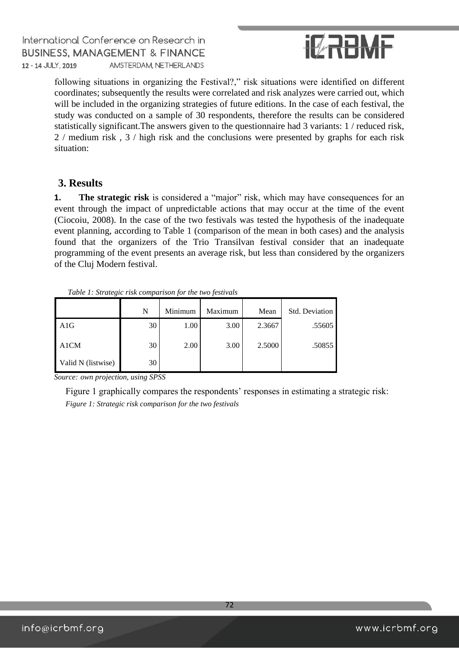

following situations in organizing the Festival?," risk situations were identified on different coordinates; subsequently the results were correlated and risk analyzes were carried out, which will be included in the organizing strategies of future editions. In the case of each festival, the study was conducted on a sample of 30 respondents, therefore the results can be considered statistically significant.The answers given to the questionnaire had 3 variants: 1 / reduced risk, 2 / medium risk , 3 / high risk and the conclusions were presented by graphs for each risk situation:

### **3. Results**

**1. The strategic risk** is considered a "major" risk, which may have consequences for an event through the impact of unpredictable actions that may occur at the time of the event (Ciocoiu, 2008). In the case of the two festivals was tested the hypothesis of the inadequate event planning, according to Table 1 (comparison of the mean in both cases) and the analysis found that the organizers of the Trio Transilvan festival consider that an inadequate programming of the event presents an average risk, but less than considered by the organizers of the Cluj Modern festival.

| Two re- It is not an experiment to the first the first form who |    |         |         |        |                |  |
|-----------------------------------------------------------------|----|---------|---------|--------|----------------|--|
|                                                                 | N  | Minimum | Maximum | Mean   | Std. Deviation |  |
| A1G                                                             | 30 | 1.00    | 3.00    | 2.3667 | .55605         |  |
| A1CM                                                            | 30 | 2.00    | 3.00    | 2.5000 | .50855         |  |
| Valid N (listwise)                                              | 30 |         |         |        |                |  |

*Table 1: Strategic risk comparison for the two festivals* 

*Source: own projection, using SPSS* 

Figure 1 graphically compares the respondents' responses in estimating a strategic risk: *Figure 1: Strategic risk comparison for the two festivals*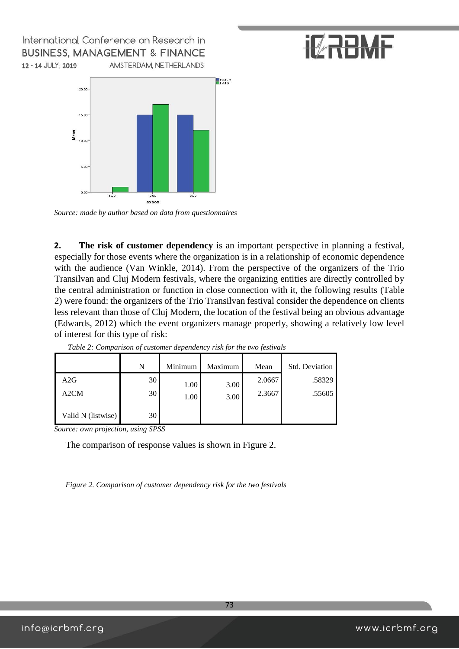



*Source: made by author based on data from questionnaires* 

**2. The risk of customer dependency** is an important perspective in planning a festival, especially for those events where the organization is in a relationship of economic dependence with the audience (Van Winkle, 2014). From the perspective of the organizers of the Trio Transilvan and Cluj Modern festivals, where the organizing entities are directly controlled by the central administration or function in close connection with it, the following results (Table 2) were found: the organizers of the Trio Transilvan festival consider the dependence on clients less relevant than those of Cluj Modern, the location of the festival being an obvious advantage (Edwards, 2012) which the event organizers manage properly, showing a relatively low level of interest for this type of risk:

|                    | N  | Minimum | Maximum | Mean   | <b>Std. Deviation</b> |
|--------------------|----|---------|---------|--------|-----------------------|
| A2G                | 30 | 1.00    | 3.00    | 2.0667 | .58329                |
| A <sub>2</sub> CM  | 30 | 1.00    | 3.00    | 2.3667 | .55605                |
| Valid N (listwise) | 30 |         |         |        |                       |

*Table 2: Comparison of customer dependency risk for the two festivals*

*Source: own projection, using SPSS* 

The comparison of response values is shown in Figure 2.

*Figure 2. Comparison of customer dependency risk for the two festivals*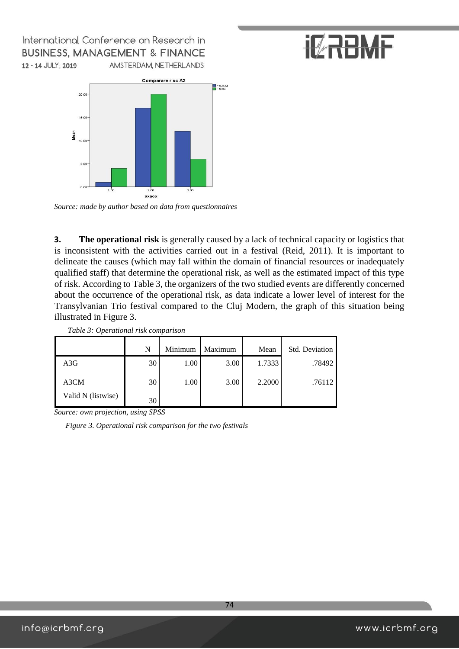



*Source: made by author based on data from questionnaires* 

**3. The operational risk** is generally caused by a lack of technical capacity or logistics that is inconsistent with the activities carried out in a festival (Reid, 2011). It is important to delineate the causes (which may fall within the domain of financial resources or inadequately qualified staff) that determine the operational risk, as well as the estimated impact of this type of risk. According to Table 3, the organizers of the two studied events are differently concerned about the occurrence of the operational risk, as data indicate a lower level of interest for the Transylvanian Trio festival compared to the Cluj Modern, the graph of this situation being illustrated in Figure 3.

*Table 3: Operational risk comparison*

|                    | N  | Minimum | Maximum | Mean   | Std. Deviation |
|--------------------|----|---------|---------|--------|----------------|
| A3G                | 30 | 1.00    | 3.00    | 1.7333 | .78492         |
| A3CM               | 30 | 1.00    | 3.00    | 2.2000 | .76112         |
| Valid N (listwise) | 30 |         |         |        |                |

*Source: own projection, using SPSS* 

*Figure 3. Operational risk comparison for the two festivals*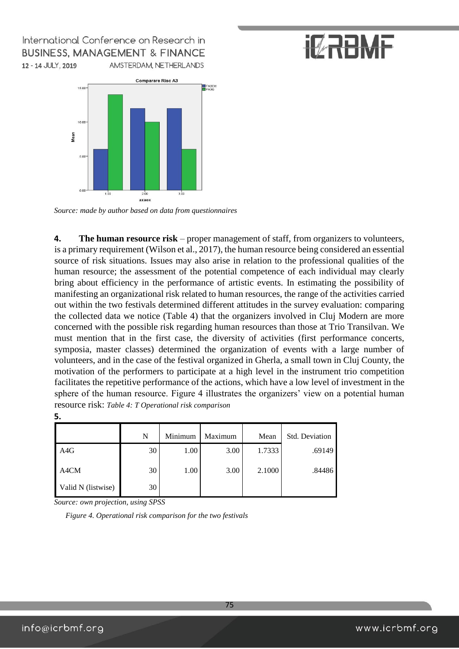# **IZRBMF**



*Source: made by author based on data from questionnaires* 

**4. The human resource risk** – proper management of staff, from organizers to volunteers, is a primary requirement (Wilson et al., 2017), the human resource being considered an essential source of risk situations. Issues may also arise in relation to the professional qualities of the human resource; the assessment of the potential competence of each individual may clearly bring about efficiency in the performance of artistic events. In estimating the possibility of manifesting an organizational risk related to human resources, the range of the activities carried out within the two festivals determined different attitudes in the survey evaluation: comparing the collected data we notice (Table 4) that the organizers involved in Cluj Modern are more concerned with the possible risk regarding human resources than those at Trio Transilvan. We must mention that in the first case, the diversity of activities (first performance concerts, symposia, master classes) determined the organization of events with a large number of volunteers, and in the case of the festival organized in Gherla, a small town in Cluj County, the motivation of the performers to participate at a high level in the instrument trio competition facilitates the repetitive performance of the actions, which have a low level of investment in the sphere of the human resource. Figure 4 illustrates the organizers' view on a potential human resource risk: *Table 4: T Operational risk comparison*

| I<br>I<br>×<br>۰. |  |
|-------------------|--|

|                    | N  | Minimum | Maximum | Mean   | Std. Deviation |
|--------------------|----|---------|---------|--------|----------------|
| A4G                | 30 | 1.00    | 3.00    | 1.7333 | .69149         |
| A4CM               | 30 | 1.00    | 3.00    | 2.1000 | .84486         |
| Valid N (listwise) | 30 |         |         |        |                |

*Source: own projection, using SPSS* 

*Figure 4. Operational risk comparison for the two festivals*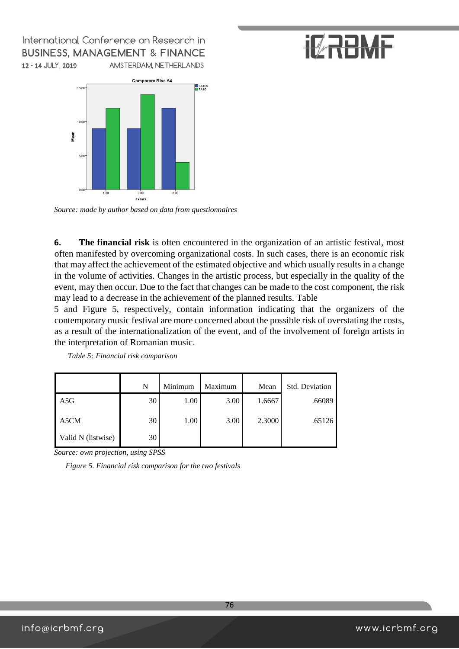# **IZRBMF**



*Source: made by author based on data from questionnaires* 

**6. The financial risk** is often encountered in the organization of an artistic festival, most often manifested by overcoming organizational costs. In such cases, there is an economic risk that may affect the achievement of the estimated objective and which usually results in a change in the volume of activities. Changes in the artistic process, but especially in the quality of the event, may then occur. Due to the fact that changes can be made to the cost component, the risk may lead to a decrease in the achievement of the planned results. Table

5 and Figure 5, respectively, contain information indicating that the organizers of the contemporary music festival are more concerned about the possible risk of overstating the costs, as a result of the internationalization of the event, and of the involvement of foreign artists in the interpretation of Romanian music.

|                    | N  | Minimum | Maximum | Mean   | <b>Std. Deviation</b> |
|--------------------|----|---------|---------|--------|-----------------------|
| A5G                | 30 | 1.00    | 3.00    | 1.6667 | .66089                |
| A5CM               | 30 | 1.00    | 3.00    | 2.3000 | .65126                |
| Valid N (listwise) | 30 |         |         |        |                       |

*Table 5: Financial risk comparison*

*Source: own projection, using SPSS* 

*Figure 5. Financial risk comparison for the two festivals*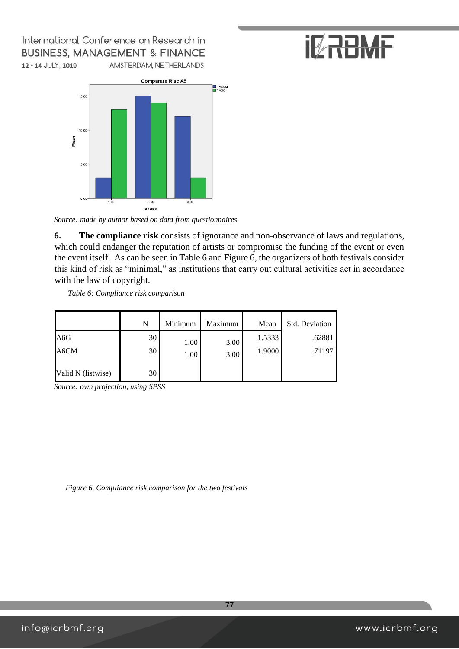# **IZRBMF**



*Source: made by author based on data from questionnaires* 

**6. The compliance risk** consists of ignorance and non-observance of laws and regulations, which could endanger the reputation of artists or compromise the funding of the event or even the event itself. As can be seen in Table 6 and Figure 6, the organizers of both festivals consider this kind of risk as "minimal," as institutions that carry out cultural activities act in accordance with the law of copyright.

*Table 6: Compliance risk comparison*

|                    | N  | Minimum | Maximum | Mean   | Std. Deviation |
|--------------------|----|---------|---------|--------|----------------|
| A6G                | 30 | 1.00    | 3.00    | 1.5333 | .62881         |
| A6CM               | 30 | 1.00    | 3.00    | 1.9000 | .71197         |
| Valid N (listwise) | 30 |         |         |        |                |

*Source: own projection, using SPSS* 

*Figure 6. Compliance risk comparison for the two festivals*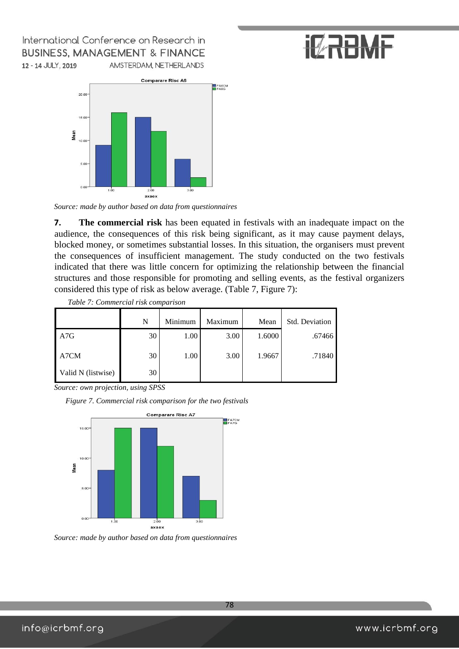



*Source: made by author based on data from questionnaires* 

**7. The commercial risk** has been equated in festivals with an inadequate impact on the audience, the consequences of this risk being significant, as it may cause payment delays, blocked money, or sometimes substantial losses. In this situation, the organisers must prevent the consequences of insufficient management. The study conducted on the two festivals indicated that there was little concern for optimizing the relationship between the financial structures and those responsible for promoting and selling events, as the festival organizers considered this type of risk as below average. (Table 7, Figure 7):

|                    | N  | Minimum | Maximum | Mean   | Std. Deviation |
|--------------------|----|---------|---------|--------|----------------|
| A7G                | 30 | 1.00    | 3.00    | 1.6000 | .67466         |
| A7CM               | 30 | 1.00    | 3.00    | 1.9667 | .71840         |
| Valid N (listwise) | 30 |         |         |        |                |

*Table 7: Commercial risk comparison*

*Source: own projection, using SPSS* 

*Figure 7. Commercial risk comparison for the two festivals* 



*Source: made by author based on data from questionnaires*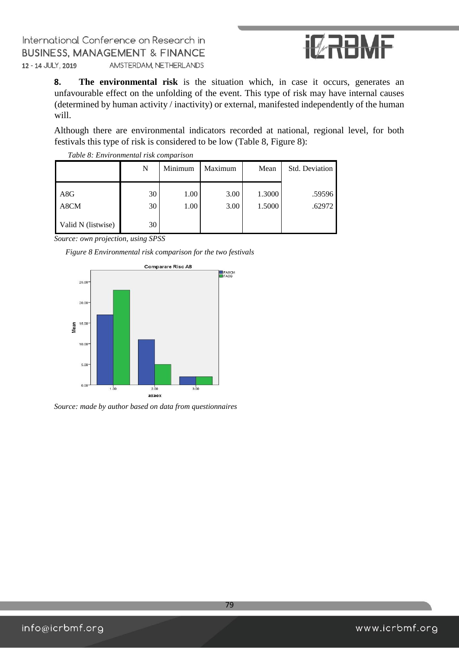

**8. The environmental risk** is the situation which, in case it occurs, generates an unfavourable effect on the unfolding of the event. This type of risk may have internal causes (determined by human activity / inactivity) or external, manifested independently of the human will.

Although there are environmental indicators recorded at national, regional level, for both festivals this type of risk is considered to be low (Table 8, Figure 8):

|                    | N        | Minimum      | Maximum      | Mean             | Std. Deviation   |
|--------------------|----------|--------------|--------------|------------------|------------------|
| A8G<br>A8CM        | 30<br>30 | 1.00<br>1.00 | 3.00<br>3.00 | 1.3000<br>1.5000 | .59596<br>.62972 |
| Valid N (listwise) | 30       |              |              |                  |                  |

*Table 8: Environmental risk comparison*

*Source: own projection, using SPSS*

*Figure 8 Environmental risk comparison for the two festivals* 



*Source: made by author based on data from questionnaires*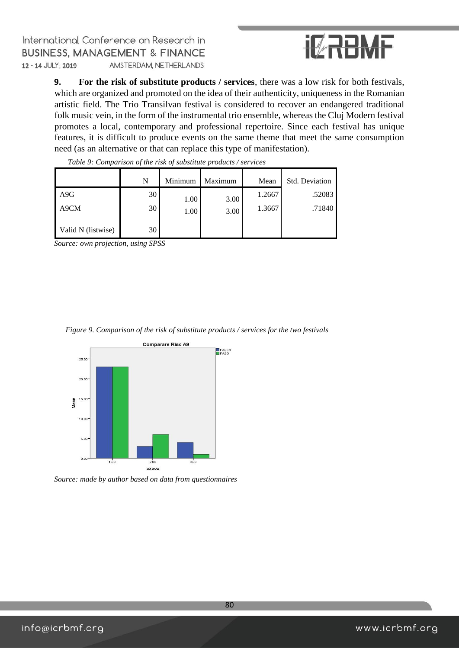

**9. For the risk of substitute products / services**, there was a low risk for both festivals, which are organized and promoted on the idea of their authenticity, uniqueness in the Romanian artistic field. The Trio Transilvan festival is considered to recover an endangered traditional folk music vein, in the form of the instrumental trio ensemble, whereas the Cluj Modern festival promotes a local, contemporary and professional repertoire. Since each festival has unique features, it is difficult to produce events on the same theme that meet the same consumption need (as an alternative or that can replace this type of manifestation).

|                    | N  | Minimum | Maximum | Mean   | Std. Deviation |
|--------------------|----|---------|---------|--------|----------------|
| A9G                | 30 | 1.00    | 3.00    | 1.2667 | .52083         |
| A9CM               | 30 | 1.00    | 3.00    | 1.3667 | .71840         |
| Valid N (listwise) | 30 |         |         |        |                |

*Table 9: Comparison of the risk of substitute products / services*

*Source: own projection, using SPSS* 

|  |  | Figure 9. Comparison of the risk of substitute products / services for the two festivals |  |
|--|--|------------------------------------------------------------------------------------------|--|
|  |  |                                                                                          |  |



*Source: made by author based on data from questionnaires*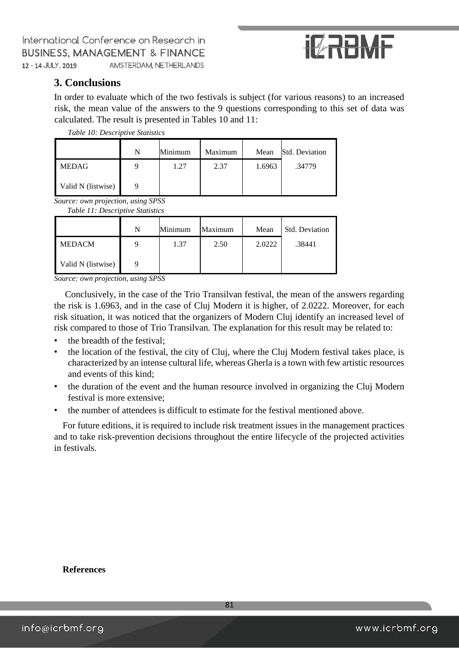

### **3. Conclusions**

In order to evaluate which of the two festivals is subject (for various reasons) to an increased risk, the mean value of the answers to the 9 questions corresponding to this set of data was calculated. The result is presented in Tables 10 and 11:

*Table 10: Descriptive Statistics*

|                    | N | Minimum | Maximum | Mean   | Std. Deviation |
|--------------------|---|---------|---------|--------|----------------|
| <b>MEDAG</b>       |   | 1.27    | 2.37    | 1.6963 | .34779         |
| Valid N (listwise) |   |         |         |        |                |

*Source: own projection, using SPSS Table 11: Descriptive Statistics*

| Tuble 11. Descriptive Suitslics |   |         |         |        |                |
|---------------------------------|---|---------|---------|--------|----------------|
|                                 | N | Minimum | Maximum | Mean   | Std. Deviation |
| <b>MEDACM</b>                   | 9 | 1.37    | 2.50    | 2.0222 | .38441         |
| Valid N (listwise)              |   |         |         |        |                |

*Source: own projection, using SPSS* 

Conclusively, in the case of the Trio Transilvan festival, the mean of the answers regarding the risk is 1.6963, and in the case of Cluj Modern it is higher, of 2.0222. Moreover, for each risk situation, it was noticed that the organizers of Modern Cluj identify an increased level of risk compared to those of Trio Transilvan. The explanation for this result may be related to:

- the breadth of the festival;
- the location of the festival, the city of Cluj, where the Cluj Modern festival takes place, is characterized by an intense cultural life, whereas Gherla is a town with few artistic resources and events of this kind;
- the duration of the event and the human resource involved in organizing the Cluj Modern festival is more extensive;
- the number of attendees is difficult to estimate for the festival mentioned above.

For future editions, it is required to include risk treatment issues in the management practices and to take risk-prevention decisions throughout the entire lifecycle of the projected activities in festivals.

**References**